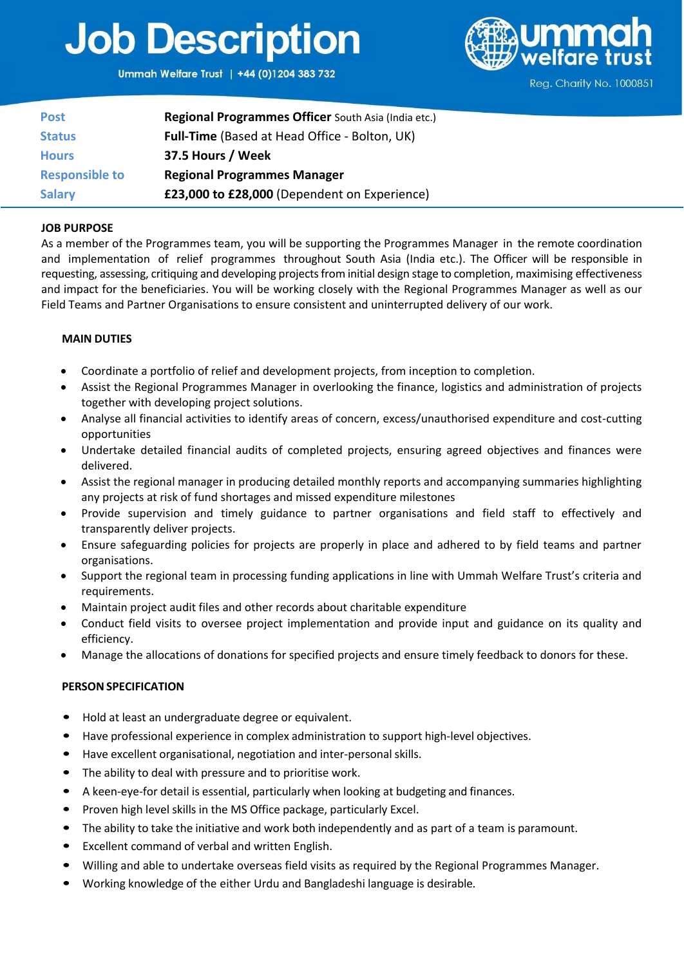## **Job Description**

Ummah Welfare Trust | +44 (0)1204 383 732



Reg. Charity No. 1000851

| <b>Post</b>           | Regional Programmes Officer South Asia (India etc.) |
|-----------------------|-----------------------------------------------------|
| <b>Status</b>         | Full-Time (Based at Head Office - Bolton, UK)       |
| <b>Hours</b>          | 37.5 Hours / Week                                   |
| <b>Responsible to</b> | <b>Regional Programmes Manager</b>                  |
| <b>Salary</b>         | £23,000 to £28,000 (Dependent on Experience)        |

## **JOB PURPOSE**

As a member of the Programmes team, you will be supporting the Programmes Manager in the remote coordination and implementation of relief programmes throughout South Asia (India etc.). The Officer will be responsible in requesting, assessing, critiquing and developing projects from initial design stage to completion, maximising effectiveness and impact for the beneficiaries. You will be working closely with the Regional Programmes Manager as well as our Field Teams and Partner Organisations to ensure consistent and uninterrupted delivery of our work.

## **MAIN DUTIES**

- Coordinate a portfolio of relief and development projects, from inception to completion.
- Assist the Regional Programmes Manager in overlooking the finance, logistics and administration of projects together with developing project solutions.
- Analyse all financial activities to identify areas of concern, excess/unauthorised expenditure and cost-cutting opportunities
- Undertake detailed financial audits of completed projects, ensuring agreed objectives and finances were delivered.
- Assist the regional manager in producing detailed monthly reports and accompanying summaries highlighting any projects at risk of fund shortages and missed expenditure milestones
- Provide supervision and timely guidance to partner organisations and field staff to effectively and transparently deliver projects.
- Ensure safeguarding policies for projects are properly in place and adhered to by field teams and partner organisations.
- Support the regional team in processing funding applications in line with Ummah Welfare Trust's criteria and requirements.
- Maintain project audit files and other records about charitable expenditure
- Conduct field visits to oversee project implementation and provide input and guidance on its quality and efficiency.
- Manage the allocations of donations for specified projects and ensure timely feedback to donors for these.

## **PERSON SPECIFICATION**

- Hold at least an undergraduate degree or equivalent.
- Have professional experience in complex administration to support high-level objectives.
- Have excellent organisational, negotiation and inter-personal skills.
- The ability to deal with pressure and to prioritise work.
- A keen-eye-for detail is essential, particularly when looking at budgeting and finances.
- Proven high level skills in the MS Office package, particularly Excel.
- The ability to take the initiative and work both independently and as part of a team is paramount.
- Excellent command of verbal and written English.
- Willing and able to undertake overseas field visits as required by the Regional Programmes Manager.
- Working knowledge of the either Urdu and Bangladeshi language is desirable.